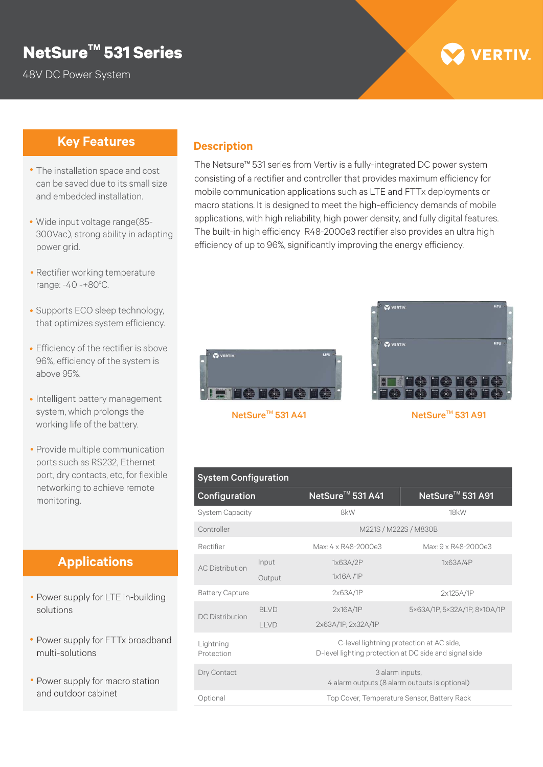## **TM NetSure 531 Series**

48V DC Power System

# **VERTIV**

### **Key Features**

- The installation space and cost can be saved due to its small size and embedded installation.
- Wide input voltage range(85- 300Vac), strong ability in adapting power grid.
- Rectifier working temperature range: -40 ~+80°C.
- Supports ECO sleep technology, that optimizes system efficiency.
- Efficiency of the rectifier is above 96%, efficiency of the system is above 95%.
- Intelligent battery management system, which prolongs the working life of the battery.
- Provide multiple communication ports such as RS232, Ethernet port, dry contacts, etc, for flexible networking to achieve remote monitoring.

### **Applications**

- Power supply for LTE in-building solutions
- Power supply for FTTx broadband multi-solutions
- Power supply for macro station and outdoor cabinet

#### **Description**

The Netsure™ 531 series from Vertiv is a fully-integrated DC power system consisting of a rectifier and controller that provides maximum efficiency for mobile communication applications such as LTE and FTTx deployments or macro stations. It is designed to meet the high-efficiency demands of mobile applications, with high reliability, high power density, and fully digital features. The built-in high efficiency R48-2000e3 rectifier also provides an ultra high efficiency of up to 96%, significantly improving the energy efficiency.





NetSure<sup>™</sup> 531 A91

| <b>System Configuration</b> |             |                                                                                                    |                                             |  |  |  |
|-----------------------------|-------------|----------------------------------------------------------------------------------------------------|---------------------------------------------|--|--|--|
| Configuration               |             | NetSure <sup>™</sup> 531 A41                                                                       | NetSure <sup>™</sup> 531 A91                |  |  |  |
| <b>System Capacity</b>      |             | 8kW                                                                                                | 18kW                                        |  |  |  |
| Controller                  |             | M221S / M222S / M830B                                                                              |                                             |  |  |  |
| Rectifier                   |             | Max: 4 x R48-2000e3                                                                                | Max: 9 x R48-2000e3                         |  |  |  |
| <b>AC Distribution</b>      | Input       | 1x63A/2P                                                                                           | 1x63A/4P                                    |  |  |  |
|                             | Output      | 1x16A /1P                                                                                          |                                             |  |  |  |
| <b>Battery Capture</b>      |             | 2x63A/1P                                                                                           | 2x125A/1P                                   |  |  |  |
| <b>DC</b> Distribution      | <b>BIVD</b> | 2x16A/1P                                                                                           | 5×63A/1P.5×32A/1P.8×10A/1P                  |  |  |  |
|                             | LLVD        | 2x63A/1P, 2x32A/1P                                                                                 |                                             |  |  |  |
| Lightning<br>Protection     |             | C-level lightning protection at AC side,<br>D-level lighting protection at DC side and signal side |                                             |  |  |  |
| Dry Contact                 |             | 3 alarm inputs,<br>4 alarm outputs (8 alarm outputs is optional)                                   |                                             |  |  |  |
| Optional                    |             |                                                                                                    | Top Cover, Temperature Sensor, Battery Rack |  |  |  |